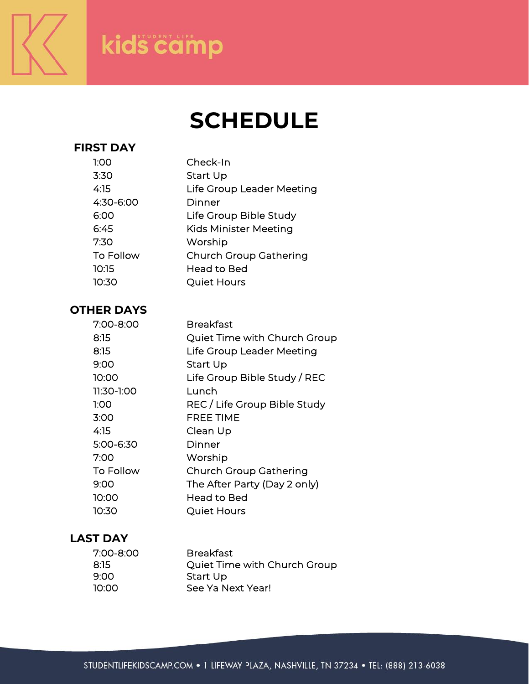

# kids camp

# **SCHEDULE**

### **FIRST DAY**

| 1:00      | Check-In                      |
|-----------|-------------------------------|
| 3:30      | Start Up                      |
| 4:15      | Life Group Leader Meeting     |
| 4:30-6:00 | Dinner                        |
| 6:00      | Life Group Bible Study        |
| 6:45      | <b>Kids Minister Meeting</b>  |
| 7:30      | Worship                       |
| To Follow | <b>Church Group Gathering</b> |
| 10:15     | <b>Head to Bed</b>            |
| 10:30     | <b>Quiet Hours</b>            |
|           |                               |

## **OTHER DAYS**

| 7:00-8:00  | Breakfast                     |
|------------|-------------------------------|
| 8:15       | Quiet Time with Church Group  |
| 8:15       | Life Group Leader Meeting     |
| 9:00       | Start Up                      |
| 10:00      | Life Group Bible Study / REC  |
| 11:30-1:00 | Lunch                         |
| 1:00       | REC / Life Group Bible Study  |
| 3:00       | <b>FREE TIME</b>              |
| 4:15       | Clean Up                      |
| 5:00-6:30  | Dinner                        |
| 7:00       | Worship                       |
| To Follow  | <b>Church Group Gathering</b> |
| 9:00       | The After Party (Day 2 only)  |
| 10:00      | Head to Bed                   |
| 10:30      | Quiet Hours                   |
|            |                               |

## **LAST DAY**

| 7:00-8:00 | <b>Breakfast</b>             |
|-----------|------------------------------|
| 8:15.     | Quiet Time with Church Group |
| 9:00      | Start Up                     |
| 10:00.    | See Ya Next Year!            |